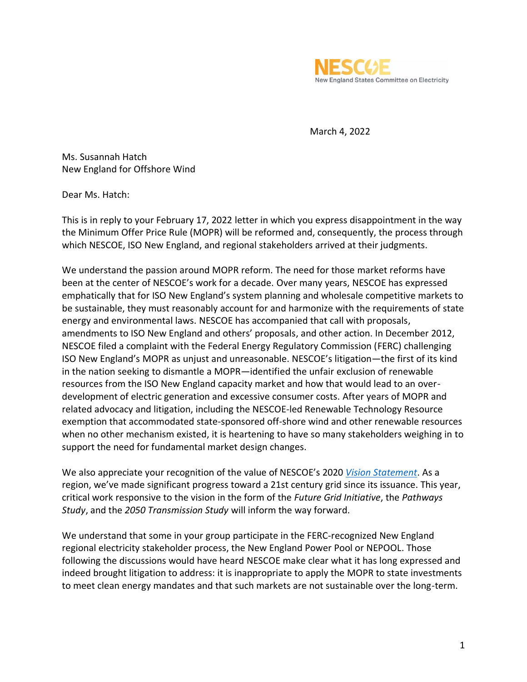

March 4, 2022

Ms. Susannah Hatch New England for Offshore Wind

Dear Ms. Hatch:

This is in reply to your February 17, 2022 letter in which you express disappointment in the way the Minimum Offer Price Rule (MOPR) will be reformed and, consequently, the process through which NESCOE, ISO New England, and regional stakeholders arrived at their judgments.

We understand the passion around MOPR reform. The need for those market reforms have been at the center of NESCOE's work for a decade. Over many years, NESCOE has expressed emphatically that for ISO New England's system planning and wholesale competitive markets to be sustainable, they must reasonably account for and harmonize with the requirements of state energy and environmental laws. NESCOE has accompanied that call with proposals, amendments to ISO New England and others' proposals, and other action. In December 2012, NESCOE filed a complaint with the Federal Energy Regulatory Commission (FERC) challenging ISO New England's MOPR as unjust and unreasonable. NESCOE's litigation—the first of its kind in the nation seeking to dismantle a MOPR—identified the unfair exclusion of renewable resources from the ISO New England capacity market and how that would lead to an overdevelopment of electric generation and excessive consumer costs. After years of MOPR and related advocacy and litigation, including the NESCOE-led Renewable Technology Resource exemption that accommodated state-sponsored off-shore wind and other renewable resources when no other mechanism existed, it is heartening to have so many stakeholders weighing in to support the need for fundamental market design changes.

We also appreciate your recognition of the value of NESCOE's 2020 *[Vision Statement](https://yq5v214uei4489eww27gbgsu-wpengine.netdna-ssl.com/wp-content/uploads/2020/10/NESCOE_Vision_Statement_Oct2020.pdf)*. As a region, we've made significant progress toward a 21st century grid since its issuance. This year, critical work responsive to the vision in the form of the *Future Grid Initiative*, the *Pathways Study*, and the *2050 Transmission Study* will inform the way forward.

We understand that some in your group participate in the FERC-recognized New England regional electricity stakeholder process, the New England Power Pool or NEPOOL. Those following the discussions would have heard NESCOE make clear what it has long expressed and indeed brought litigation to address: it is inappropriate to apply the MOPR to state investments to meet clean energy mandates and that such markets are not sustainable over the long-term.